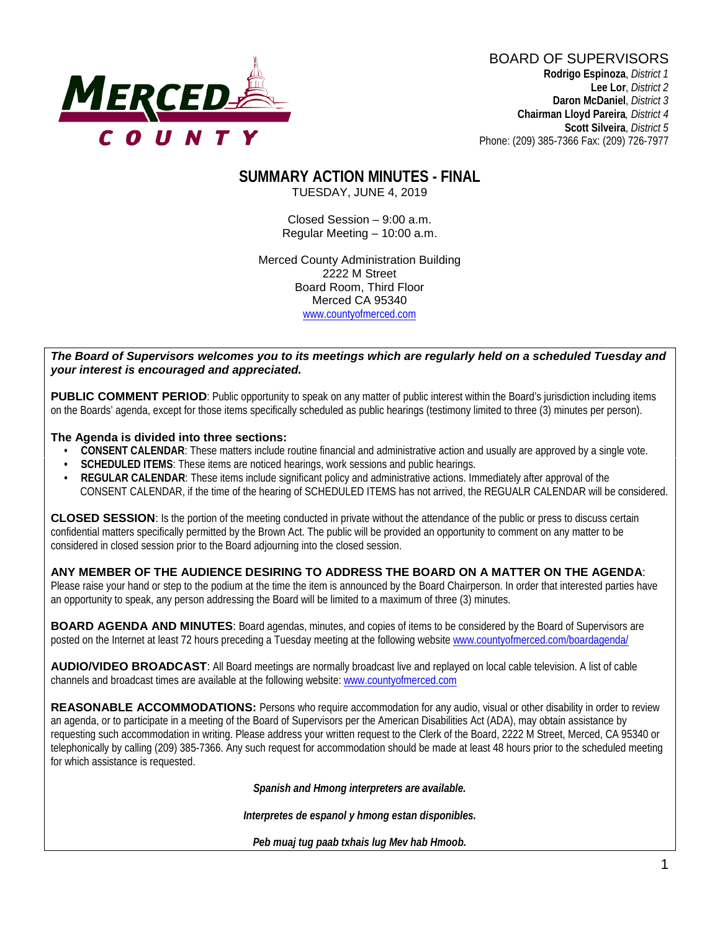

BOARD OF SUPERVISORS **Rodrigo Espinoza**, *District 1*  **Lee Lor**, *District 2*  **Daron McDaniel**, *District 3* **Chairman Lloyd Pareira***, District 4*  **Scott Silveira**, *District 5* Phone: (209) 385-7366 Fax: (209) 726-7977

# **SUMMARY ACTION MINUTES - FINAL**

TUESDAY, JUNE 4, 2019

Closed Session – 9:00 a.m. Regular Meeting – 10:00 a.m.

Merced County Administration Building 2222 M Street Board Room, Third Floor Merced CA 95340 www.countyofmerced.com

#### *The Board of Supervisors welcomes you to its meetings which are regularly held on a scheduled Tuesday and your interest is encouraged and appreciated.*

**PUBLIC COMMENT PERIOD:** Public opportunity to speak on any matter of public interest within the Board's jurisdiction including items on the Boards' agenda, except for those items specifically scheduled as public hearings (testimony limited to three (3) minutes per person).

#### **The Agenda is divided into three sections:**

- **CONSENT CALENDAR**: These matters include routine financial and administrative action and usually are approved by a single vote.
- **SCHEDULED ITEMS:** These items are noticed hearings, work sessions and public hearings.
- **REGULAR CALENDAR**: These items include significant policy and administrative actions. Immediately after approval of the CONSENT CALENDAR, if the time of the hearing of SCHEDULED ITEMS has not arrived, the REGUALR CALENDAR will be considered.

**CLOSED SESSION**: Is the portion of the meeting conducted in private without the attendance of the public or press to discuss certain confidential matters specifically permitted by the Brown Act. The public will be provided an opportunity to comment on any matter to be considered in closed session prior to the Board adjourning into the closed session.

#### **ANY MEMBER OF THE AUDIENCE DESIRING TO ADDRESS THE BOARD ON A MATTER ON THE AGENDA**:

Please raise your hand or step to the podium at the time the item is announced by the Board Chairperson. In order that interested parties have an opportunity to speak, any person addressing the Board will be limited to a maximum of three (3) minutes.

**BOARD AGENDA AND MINUTES:** Board agendas, minutes, and copies of items to be considered by the Board of Supervisors are posted on the Internet at least 72 hours preceding a Tuesday meeting at the following website [www.countyofmerced.com/boardagenda/](http://www.countyofmerced.com/boardagenda/) 

**AUDIO/VIDEO BROADCAST**: All Board meetings are normally broadcast live and replayed on local cable television. A list of cable channels and broadcast times are available at the following website[: www.countyofmerced.com](http://www.countyofmerced.com/)

**REASONABLE ACCOMMODATIONS:** Persons who require accommodation for any audio, visual or other disability in order to review an agenda, or to participate in a meeting of the Board of Supervisors per the American Disabilities Act (ADA), may obtain assistance by requesting such accommodation in writing. Please address your written request to the Clerk of the Board, 2222 M Street, Merced, CA 95340 or telephonically by calling (209) 385-7366. Any such request for accommodation should be made at least 48 hours prior to the scheduled meeting for which assistance is requested.

*Spanish and Hmong interpreters are available.*

*Interpretes de espanol y hmong estan disponibles.*

*Peb muaj tug paab txhais lug Mev hab Hmoob.*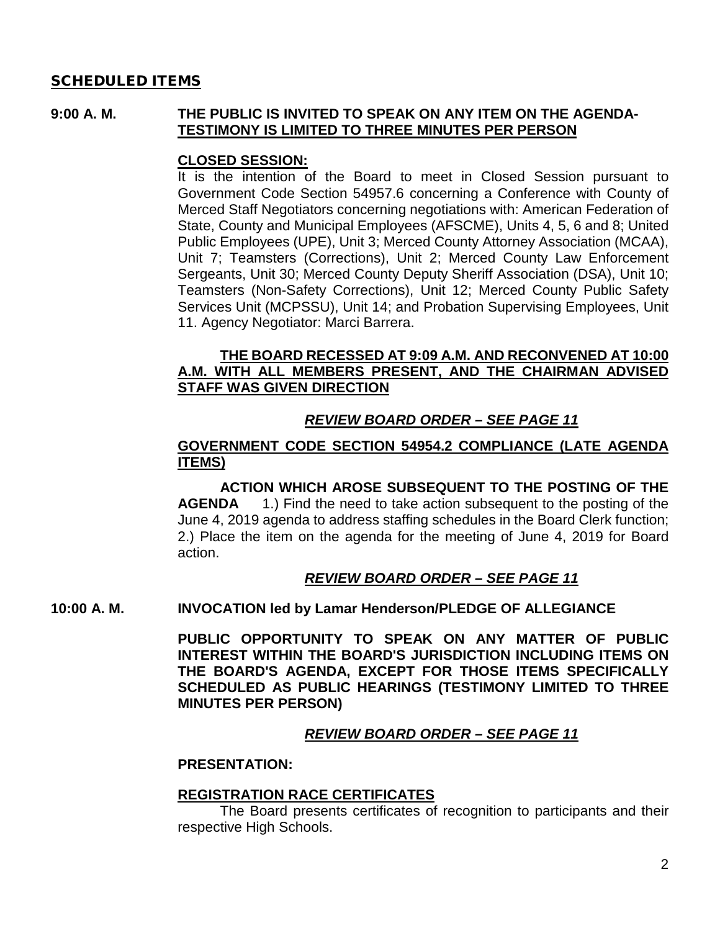#### SCHEDULED ITEMS

#### **9:00 A. M. THE PUBLIC IS INVITED TO SPEAK ON ANY ITEM ON THE AGENDA-TESTIMONY IS LIMITED TO THREE MINUTES PER PERSON**

#### **CLOSED SESSION:**

It is the intention of the Board to meet in Closed Session pursuant to Government Code Section 54957.6 concerning a Conference with County of Merced Staff Negotiators concerning negotiations with: American Federation of State, County and Municipal Employees (AFSCME), Units 4, 5, 6 and 8; United Public Employees (UPE), Unit 3; Merced County Attorney Association (MCAA), Unit 7; Teamsters (Corrections), Unit 2; Merced County Law Enforcement Sergeants, Unit 30; Merced County Deputy Sheriff Association (DSA), Unit 10; Teamsters (Non-Safety Corrections), Unit 12; Merced County Public Safety Services Unit (MCPSSU), Unit 14; and Probation Supervising Employees, Unit 11. Agency Negotiator: Marci Barrera.

#### **THE BOARD RECESSED AT 9:09 A.M. AND RECONVENED AT 10:00 A.M. WITH ALL MEMBERS PRESENT, AND THE CHAIRMAN ADVISED STAFF WAS GIVEN DIRECTION**

### *REVIEW BOARD ORDER – SEE PAGE 11*

#### **GOVERNMENT CODE SECTION 54954.2 COMPLIANCE (LATE AGENDA ITEMS)**

**ACTION WHICH AROSE SUBSEQUENT TO THE POSTING OF THE AGENDA** 1.) Find the need to take action subsequent to the posting of the June 4, 2019 agenda to address staffing schedules in the Board Clerk function; 2.) Place the item on the agenda for the meeting of June 4, 2019 for Board action.

#### *REVIEW BOARD ORDER – SEE PAGE 11*

**10:00 A. M. INVOCATION led by Lamar Henderson/PLEDGE OF ALLEGIANCE**

**PUBLIC OPPORTUNITY TO SPEAK ON ANY MATTER OF PUBLIC INTEREST WITHIN THE BOARD'S JURISDICTION INCLUDING ITEMS ON THE BOARD'S AGENDA, EXCEPT FOR THOSE ITEMS SPECIFICALLY SCHEDULED AS PUBLIC HEARINGS (TESTIMONY LIMITED TO THREE MINUTES PER PERSON)**

### *REVIEW BOARD ORDER – SEE PAGE 11*

#### **PRESENTATION:**

#### **REGISTRATION RACE CERTIFICATES**

The Board presents certificates of recognition to participants and their respective High Schools.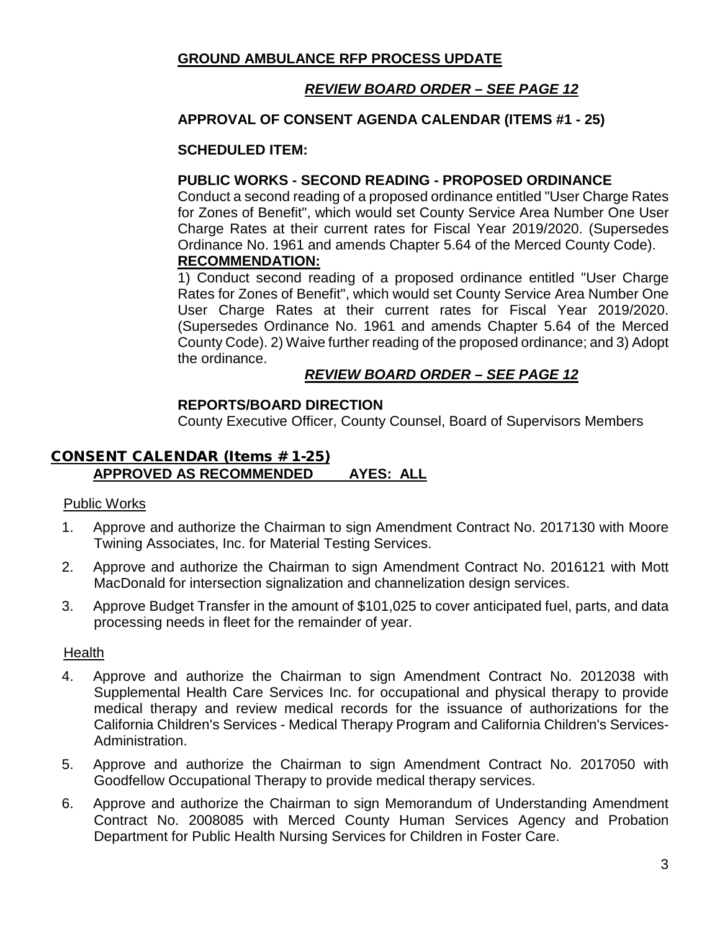### **GROUND AMBULANCE RFP PROCESS UPDATE**

### *REVIEW BOARD ORDER – SEE PAGE 12*

#### **APPROVAL OF CONSENT AGENDA CALENDAR (ITEMS #1 - 25)**

#### **SCHEDULED ITEM:**

#### **PUBLIC WORKS - SECOND READING - PROPOSED ORDINANCE**

Conduct a second reading of a proposed ordinance entitled "User Charge Rates for Zones of Benefit", which would set County Service Area Number One User Charge Rates at their current rates for Fiscal Year 2019/2020. (Supersedes Ordinance No. 1961 and amends Chapter 5.64 of the Merced County Code).

#### **RECOMMENDATION:**

1) Conduct second reading of a proposed ordinance entitled "User Charge Rates for Zones of Benefit", which would set County Service Area Number One User Charge Rates at their current rates for Fiscal Year 2019/2020. (Supersedes Ordinance No. 1961 and amends Chapter 5.64 of the Merced County Code). 2) Waive further reading of the proposed ordinance; and 3) Adopt the ordinance.

### *REVIEW BOARD ORDER – SEE PAGE 12*

#### **REPORTS/BOARD DIRECTION**

County Executive Officer, County Counsel, Board of Supervisors Members

### CONSENT CALENDAR (Items # 1-25) **APPROVED AS RECOMMENDED AYES: ALL**

#### Public Works

- 1. Approve and authorize the Chairman to sign Amendment Contract No. 2017130 with Moore Twining Associates, Inc. for Material Testing Services.
- 2. Approve and authorize the Chairman to sign Amendment Contract No. 2016121 with Mott MacDonald for intersection signalization and channelization design services.
- 3. Approve Budget Transfer in the amount of \$101,025 to cover anticipated fuel, parts, and data processing needs in fleet for the remainder of year.

#### Health

- 4. Approve and authorize the Chairman to sign Amendment Contract No. 2012038 with Supplemental Health Care Services Inc. for occupational and physical therapy to provide medical therapy and review medical records for the issuance of authorizations for the California Children's Services - Medical Therapy Program and California Children's Services-Administration.
- 5. Approve and authorize the Chairman to sign Amendment Contract No. 2017050 with Goodfellow Occupational Therapy to provide medical therapy services.
- 6. Approve and authorize the Chairman to sign Memorandum of Understanding Amendment Contract No. 2008085 with Merced County Human Services Agency and Probation Department for Public Health Nursing Services for Children in Foster Care.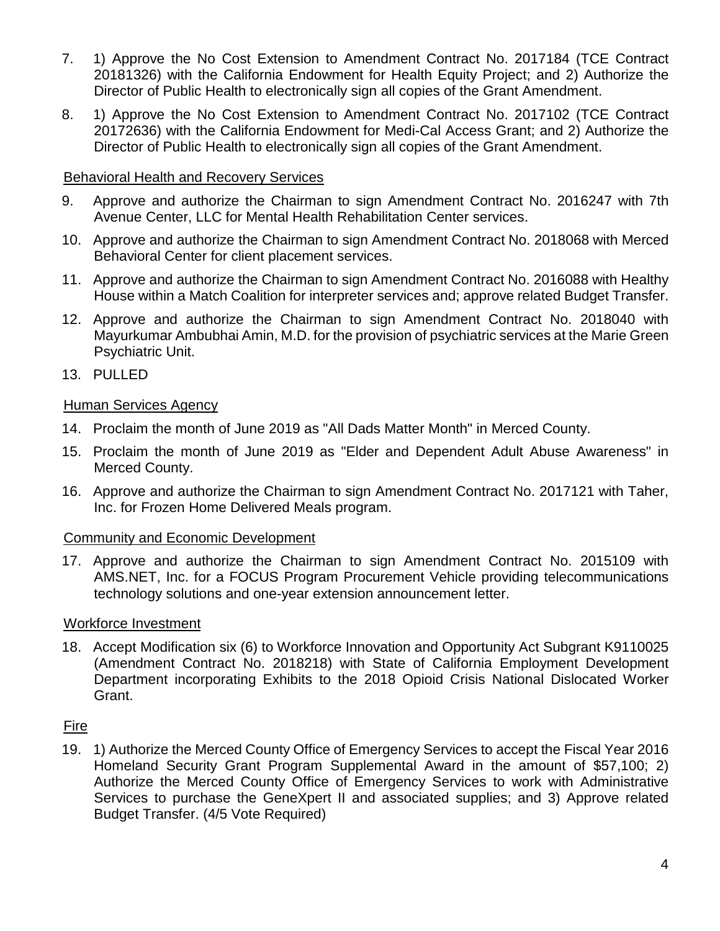- 7. 1) Approve the No Cost Extension to Amendment Contract No. 2017184 (TCE Contract 20181326) with the California Endowment for Health Equity Project; and 2) Authorize the Director of Public Health to electronically sign all copies of the Grant Amendment.
- 8. 1) Approve the No Cost Extension to Amendment Contract No. 2017102 (TCE Contract 20172636) with the California Endowment for Medi-Cal Access Grant; and 2) Authorize the Director of Public Health to electronically sign all copies of the Grant Amendment.

#### Behavioral Health and Recovery Services

- 9. Approve and authorize the Chairman to sign Amendment Contract No. 2016247 with 7th Avenue Center, LLC for Mental Health Rehabilitation Center services.
- 10. Approve and authorize the Chairman to sign Amendment Contract No. 2018068 with Merced Behavioral Center for client placement services.
- 11. Approve and authorize the Chairman to sign Amendment Contract No. 2016088 with Healthy House within a Match Coalition for interpreter services and; approve related Budget Transfer.
- 12. Approve and authorize the Chairman to sign Amendment Contract No. 2018040 with Mayurkumar Ambubhai Amin, M.D. for the provision of psychiatric services at the Marie Green Psychiatric Unit.
- 13. PULLED

#### Human Services Agency

- 14. Proclaim the month of June 2019 as "All Dads Matter Month" in Merced County.
- 15. Proclaim the month of June 2019 as "Elder and Dependent Adult Abuse Awareness" in Merced County.
- 16. Approve and authorize the Chairman to sign Amendment Contract No. 2017121 with Taher, Inc. for Frozen Home Delivered Meals program.

#### Community and Economic Development

17. Approve and authorize the Chairman to sign Amendment Contract No. 2015109 with AMS.NET, Inc. for a FOCUS Program Procurement Vehicle providing telecommunications technology solutions and one-year extension announcement letter.

#### Workforce Investment

18. Accept Modification six (6) to Workforce Innovation and Opportunity Act Subgrant K9110025 (Amendment Contract No. 2018218) with State of California Employment Development Department incorporating Exhibits to the 2018 Opioid Crisis National Dislocated Worker Grant.

### Fire

19. 1) Authorize the Merced County Office of Emergency Services to accept the Fiscal Year 2016 Homeland Security Grant Program Supplemental Award in the amount of \$57,100; 2) Authorize the Merced County Office of Emergency Services to work with Administrative Services to purchase the GeneXpert II and associated supplies; and 3) Approve related Budget Transfer. (4/5 Vote Required)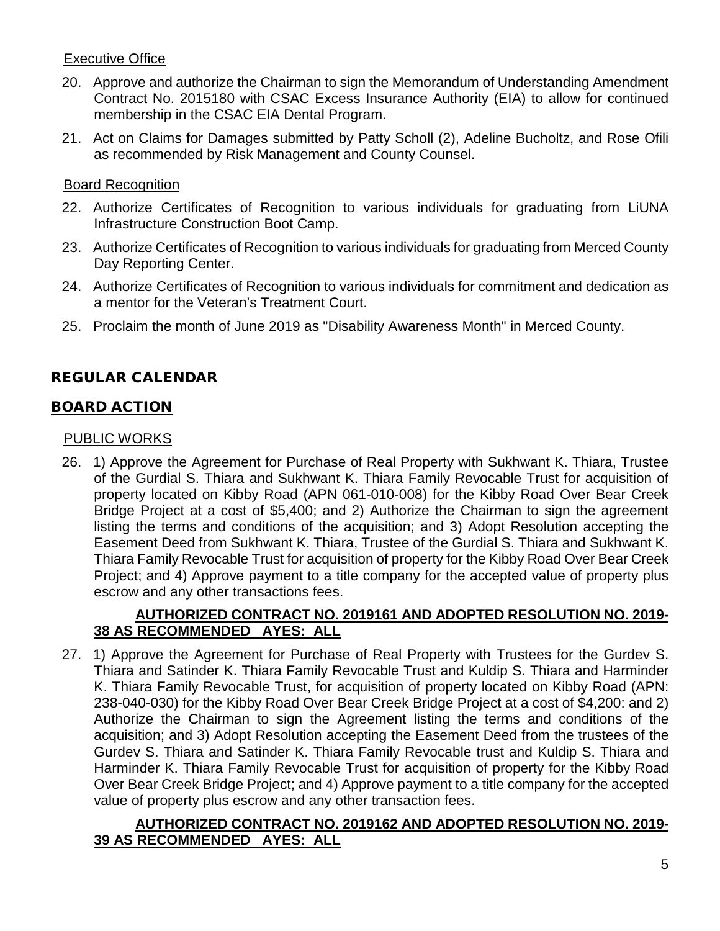### Executive Office

- 20. Approve and authorize the Chairman to sign the Memorandum of Understanding Amendment Contract No. 2015180 with CSAC Excess Insurance Authority (EIA) to allow for continued membership in the CSAC EIA Dental Program.
- 21. Act on Claims for Damages submitted by Patty Scholl (2), Adeline Bucholtz, and Rose Ofili as recommended by Risk Management and County Counsel.

### Board Recognition

- 22. Authorize Certificates of Recognition to various individuals for graduating from LiUNA Infrastructure Construction Boot Camp.
- 23. Authorize Certificates of Recognition to various individuals for graduating from Merced County Day Reporting Center.
- 24. Authorize Certificates of Recognition to various individuals for commitment and dedication as a mentor for the Veteran's Treatment Court.
- 25. Proclaim the month of June 2019 as "Disability Awareness Month" in Merced County.

# REGULAR CALENDAR

### BOARD ACTION

### PUBLIC WORKS

26. 1) Approve the Agreement for Purchase of Real Property with Sukhwant K. Thiara, Trustee of the Gurdial S. Thiara and Sukhwant K. Thiara Family Revocable Trust for acquisition of property located on Kibby Road (APN 061-010-008) for the Kibby Road Over Bear Creek Bridge Project at a cost of \$5,400; and 2) Authorize the Chairman to sign the agreement listing the terms and conditions of the acquisition; and 3) Adopt Resolution accepting the Easement Deed from Sukhwant K. Thiara, Trustee of the Gurdial S. Thiara and Sukhwant K. Thiara Family Revocable Trust for acquisition of property for the Kibby Road Over Bear Creek Project; and 4) Approve payment to a title company for the accepted value of property plus escrow and any other transactions fees.

### **AUTHORIZED CONTRACT NO. 2019161 AND ADOPTED RESOLUTION NO. 2019- 38 AS RECOMMENDED AYES: ALL**

27. 1) Approve the Agreement for Purchase of Real Property with Trustees for the Gurdev S. Thiara and Satinder K. Thiara Family Revocable Trust and Kuldip S. Thiara and Harminder K. Thiara Family Revocable Trust, for acquisition of property located on Kibby Road (APN: 238-040-030) for the Kibby Road Over Bear Creek Bridge Project at a cost of \$4,200: and 2) Authorize the Chairman to sign the Agreement listing the terms and conditions of the acquisition; and 3) Adopt Resolution accepting the Easement Deed from the trustees of the Gurdev S. Thiara and Satinder K. Thiara Family Revocable trust and Kuldip S. Thiara and Harminder K. Thiara Family Revocable Trust for acquisition of property for the Kibby Road Over Bear Creek Bridge Project; and 4) Approve payment to a title company for the accepted value of property plus escrow and any other transaction fees.

### **AUTHORIZED CONTRACT NO. 2019162 AND ADOPTED RESOLUTION NO. 2019- 39 AS RECOMMENDED AYES: ALL**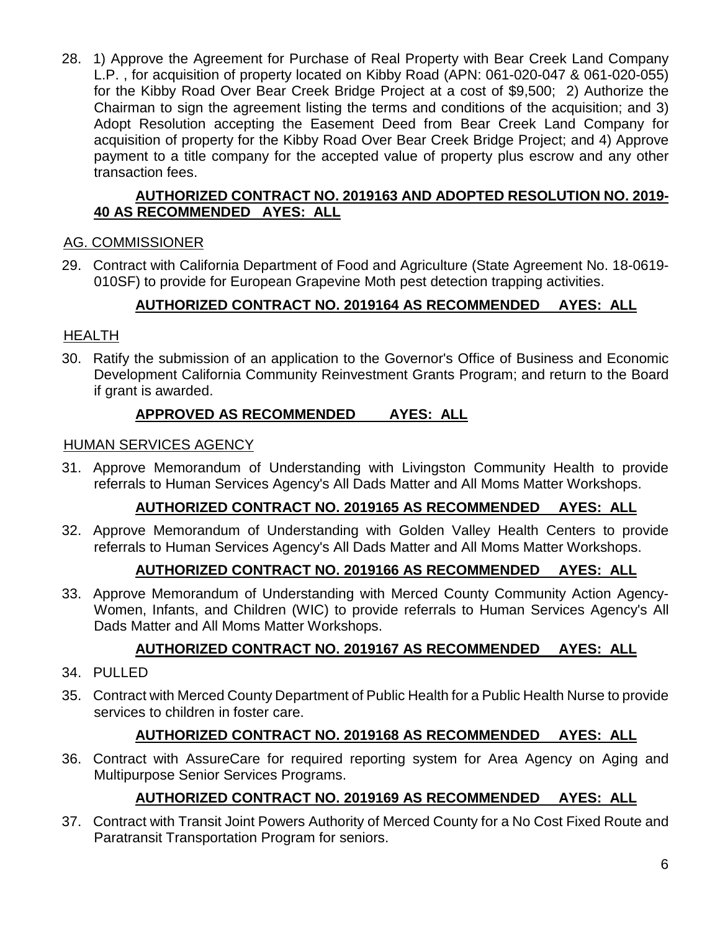28. 1) Approve the Agreement for Purchase of Real Property with Bear Creek Land Company L.P. , for acquisition of property located on Kibby Road (APN: 061-020-047 & 061-020-055) for the Kibby Road Over Bear Creek Bridge Project at a cost of \$9,500; 2) Authorize the Chairman to sign the agreement listing the terms and conditions of the acquisition; and 3) Adopt Resolution accepting the Easement Deed from Bear Creek Land Company for acquisition of property for the Kibby Road Over Bear Creek Bridge Project; and 4) Approve payment to a title company for the accepted value of property plus escrow and any other transaction fees.

#### **AUTHORIZED CONTRACT NO. 2019163 AND ADOPTED RESOLUTION NO. 2019- 40 AS RECOMMENDED AYES: ALL**

### AG. COMMISSIONER

29. Contract with California Department of Food and Agriculture (State Agreement No. 18-0619- 010SF) to provide for European Grapevine Moth pest detection trapping activities.

# **AUTHORIZED CONTRACT NO. 2019164 AS RECOMMENDED AYES: ALL**

### HEALTH

30. Ratify the submission of an application to the Governor's Office of Business and Economic Development California Community Reinvestment Grants Program; and return to the Board if grant is awarded.

### **APPROVED AS RECOMMENDED AYES: ALL**

#### HUMAN SERVICES AGENCY

31. Approve Memorandum of Understanding with Livingston Community Health to provide referrals to Human Services Agency's All Dads Matter and All Moms Matter Workshops.

### **AUTHORIZED CONTRACT NO. 2019165 AS RECOMMENDED AYES: ALL**

32. Approve Memorandum of Understanding with Golden Valley Health Centers to provide referrals to Human Services Agency's All Dads Matter and All Moms Matter Workshops.

### **AUTHORIZED CONTRACT NO. 2019166 AS RECOMMENDED AYES: ALL**

33. Approve Memorandum of Understanding with Merced County Community Action Agency-Women, Infants, and Children (WIC) to provide referrals to Human Services Agency's All Dads Matter and All Moms Matter Workshops.

# **AUTHORIZED CONTRACT NO. 2019167 AS RECOMMENDED AYES: ALL**

- 34. PULLED
- 35. Contract with Merced County Department of Public Health for a Public Health Nurse to provide services to children in foster care.

### **AUTHORIZED CONTRACT NO. 2019168 AS RECOMMENDED AYES: ALL**

36. Contract with AssureCare for required reporting system for Area Agency on Aging and Multipurpose Senior Services Programs.

### **AUTHORIZED CONTRACT NO. 2019169 AS RECOMMENDED AYES: ALL**

37. Contract with Transit Joint Powers Authority of Merced County for a No Cost Fixed Route and Paratransit Transportation Program for seniors.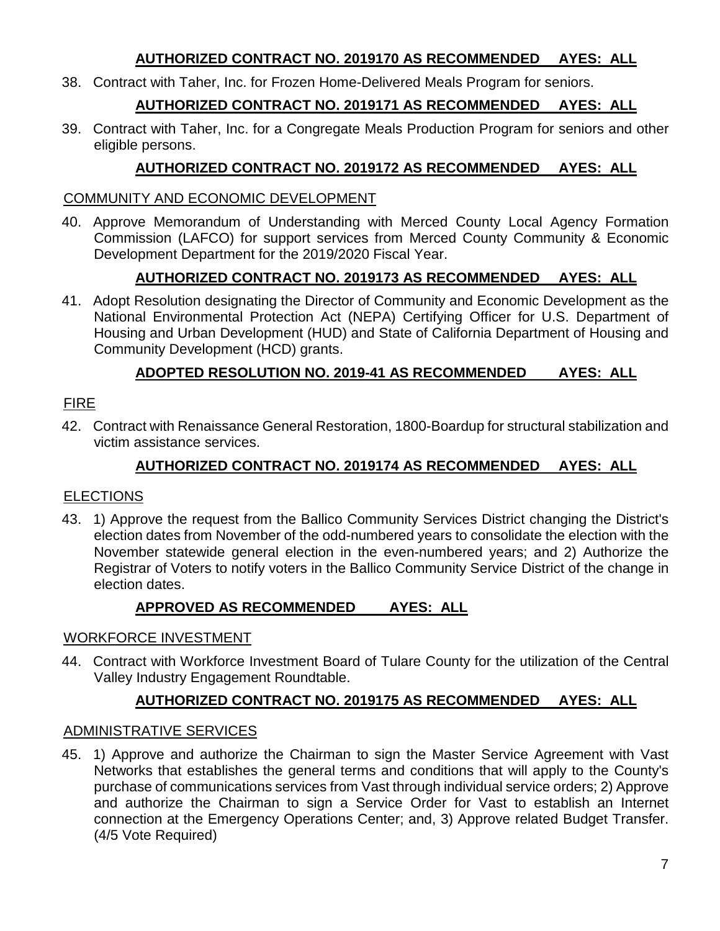### **AUTHORIZED CONTRACT NO. 2019170 AS RECOMMENDED AYES: ALL**

38. Contract with Taher, Inc. for Frozen Home-Delivered Meals Program for seniors.

# **AUTHORIZED CONTRACT NO. 2019171 AS RECOMMENDED AYES: ALL**

39. Contract with Taher, Inc. for a Congregate Meals Production Program for seniors and other eligible persons.

### **AUTHORIZED CONTRACT NO. 2019172 AS RECOMMENDED AYES: ALL**

### COMMUNITY AND ECONOMIC DEVELOPMENT

40. Approve Memorandum of Understanding with Merced County Local Agency Formation Commission (LAFCO) for support services from Merced County Community & Economic Development Department for the 2019/2020 Fiscal Year.

# **AUTHORIZED CONTRACT NO. 2019173 AS RECOMMENDED AYES: ALL**

41. Adopt Resolution designating the Director of Community and Economic Development as the National Environmental Protection Act (NEPA) Certifying Officer for U.S. Department of Housing and Urban Development (HUD) and State of California Department of Housing and Community Development (HCD) grants.

# **ADOPTED RESOLUTION NO. 2019-41 AS RECOMMENDED AYES: ALL**

### FIRE

42. Contract with Renaissance General Restoration, 1800-Boardup for structural stabilization and victim assistance services.

### **AUTHORIZED CONTRACT NO. 2019174 AS RECOMMENDED AYES: ALL**

# **ELECTIONS**

43. 1) Approve the request from the Ballico Community Services District changing the District's election dates from November of the odd-numbered years to consolidate the election with the November statewide general election in the even-numbered years; and 2) Authorize the Registrar of Voters to notify voters in the Ballico Community Service District of the change in election dates.

### **APPROVED AS RECOMMENDED AYES: ALL**

### WORKFORCE INVESTMENT

44. Contract with Workforce Investment Board of Tulare County for the utilization of the Central Valley Industry Engagement Roundtable.

# **AUTHORIZED CONTRACT NO. 2019175 AS RECOMMENDED AYES: ALL**

### ADMINISTRATIVE SERVICES

45. 1) Approve and authorize the Chairman to sign the Master Service Agreement with Vast Networks that establishes the general terms and conditions that will apply to the County's purchase of communications services from Vast through individual service orders; 2) Approve and authorize the Chairman to sign a Service Order for Vast to establish an Internet connection at the Emergency Operations Center; and, 3) Approve related Budget Transfer. (4/5 Vote Required)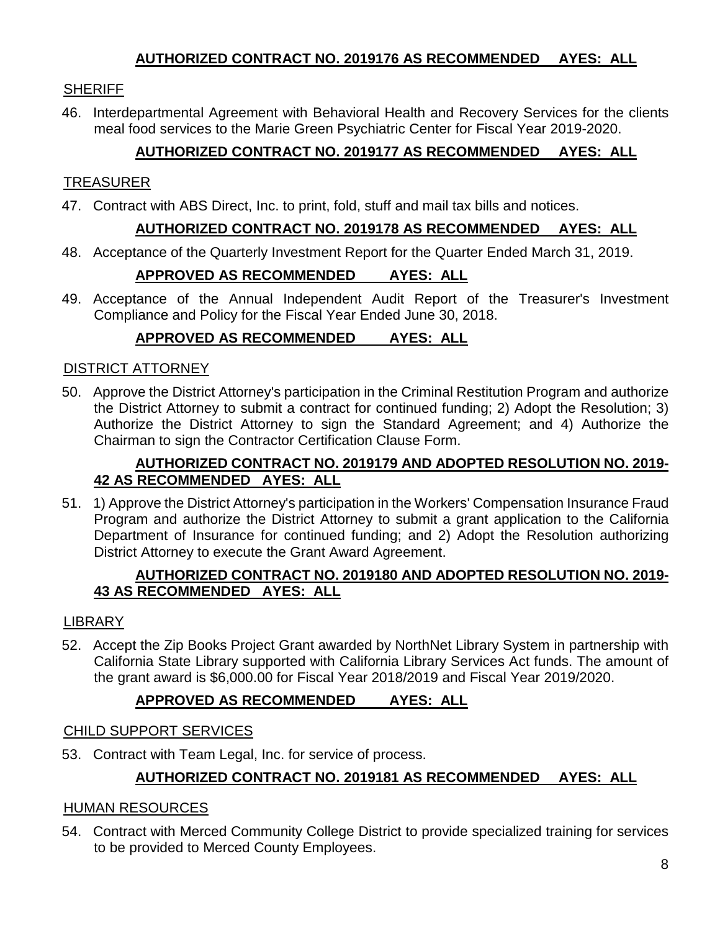### **AUTHORIZED CONTRACT NO. 2019176 AS RECOMMENDED AYES: ALL**

### SHERIFF

46. Interdepartmental Agreement with Behavioral Health and Recovery Services for the clients meal food services to the Marie Green Psychiatric Center for Fiscal Year 2019-2020.

### **AUTHORIZED CONTRACT NO. 2019177 AS RECOMMENDED AYES: ALL**

### TREASURER

47. Contract with ABS Direct, Inc. to print, fold, stuff and mail tax bills and notices.

### **AUTHORIZED CONTRACT NO. 2019178 AS RECOMMENDED AYES: ALL**

48. Acceptance of the Quarterly Investment Report for the Quarter Ended March 31, 2019.

### **APPROVED AS RECOMMENDED AYES: ALL**

49. Acceptance of the Annual Independent Audit Report of the Treasurer's Investment Compliance and Policy for the Fiscal Year Ended June 30, 2018.

### **APPROVED AS RECOMMENDED AYES: ALL**

#### DISTRICT ATTORNEY

50. Approve the District Attorney's participation in the Criminal Restitution Program and authorize the District Attorney to submit a contract for continued funding; 2) Adopt the Resolution; 3) Authorize the District Attorney to sign the Standard Agreement; and 4) Authorize the Chairman to sign the Contractor Certification Clause Form.

### **AUTHORIZED CONTRACT NO. 2019179 AND ADOPTED RESOLUTION NO. 2019- 42 AS RECOMMENDED AYES: ALL**

51. 1) Approve the District Attorney's participation in the Workers' Compensation Insurance Fraud Program and authorize the District Attorney to submit a grant application to the California Department of Insurance for continued funding; and 2) Adopt the Resolution authorizing District Attorney to execute the Grant Award Agreement.

### **AUTHORIZED CONTRACT NO. 2019180 AND ADOPTED RESOLUTION NO. 2019- 43 AS RECOMMENDED AYES: ALL**

### LIBRARY

52. Accept the Zip Books Project Grant awarded by NorthNet Library System in partnership with California State Library supported with California Library Services Act funds. The amount of the grant award is \$6,000.00 for Fiscal Year 2018/2019 and Fiscal Year 2019/2020.

### **APPROVED AS RECOMMENDED AYES: ALL**

#### CHILD SUPPORT SERVICES

53. Contract with Team Legal, Inc. for service of process.

# **AUTHORIZED CONTRACT NO. 2019181 AS RECOMMENDED AYES: ALL**

### HUMAN RESOURCES

54. Contract with Merced Community College District to provide specialized training for services to be provided to Merced County Employees.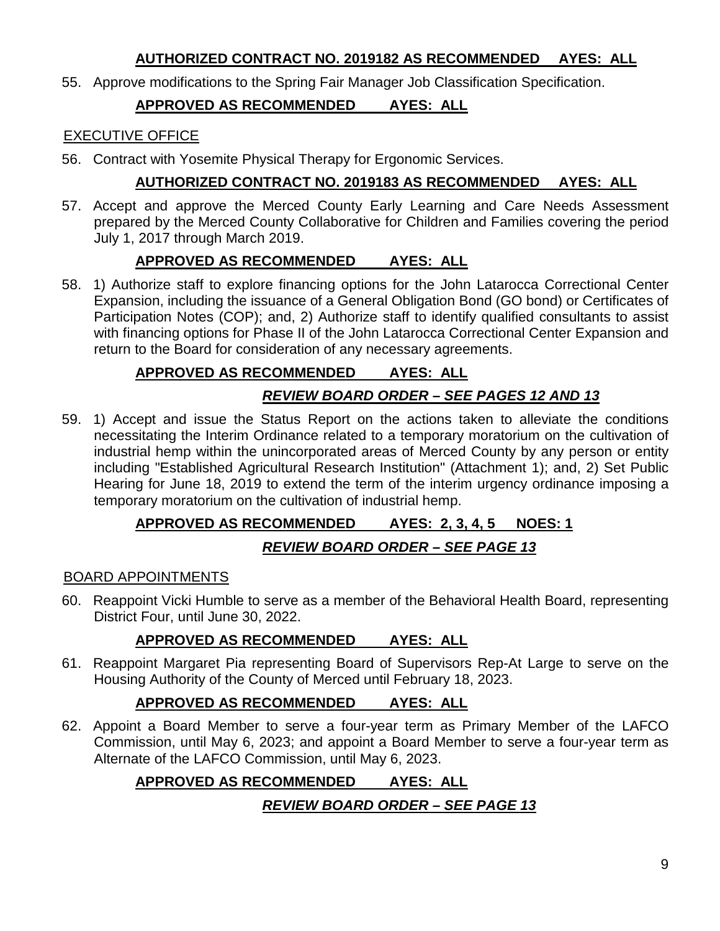### **AUTHORIZED CONTRACT NO. 2019182 AS RECOMMENDED AYES: ALL**

55. Approve modifications to the Spring Fair Manager Job Classification Specification.

# **APPROVED AS RECOMMENDED AYES: ALL**

### EXECUTIVE OFFICE

56. Contract with Yosemite Physical Therapy for Ergonomic Services.

# **AUTHORIZED CONTRACT NO. 2019183 AS RECOMMENDED AYES: ALL**

57. Accept and approve the Merced County Early Learning and Care Needs Assessment prepared by the Merced County Collaborative for Children and Families covering the period July 1, 2017 through March 2019.

# **APPROVED AS RECOMMENDED AYES: ALL**

58. 1) Authorize staff to explore financing options for the John Latarocca Correctional Center Expansion, including the issuance of a General Obligation Bond (GO bond) or Certificates of Participation Notes (COP); and, 2) Authorize staff to identify qualified consultants to assist with financing options for Phase II of the John Latarocca Correctional Center Expansion and return to the Board for consideration of any necessary agreements.

# **APPROVED AS RECOMMENDED AYES: ALL**

# *REVIEW BOARD ORDER – SEE PAGES 12 AND 13*

59. 1) Accept and issue the Status Report on the actions taken to alleviate the conditions necessitating the Interim Ordinance related to a temporary moratorium on the cultivation of industrial hemp within the unincorporated areas of Merced County by any person or entity including "Established Agricultural Research Institution" (Attachment 1); and, 2) Set Public Hearing for June 18, 2019 to extend the term of the interim urgency ordinance imposing a temporary moratorium on the cultivation of industrial hemp.

# **APPROVED AS RECOMMENDED AYES: 2, 3, 4, 5 NOES: 1**

# *REVIEW BOARD ORDER – SEE PAGE 13*

### BOARD APPOINTMENTS

60. Reappoint Vicki Humble to serve as a member of the Behavioral Health Board, representing District Four, until June 30, 2022.

# **APPROVED AS RECOMMENDED AYES: ALL**

61. Reappoint Margaret Pia representing Board of Supervisors Rep-At Large to serve on the Housing Authority of the County of Merced until February 18, 2023.

# **APPROVED AS RECOMMENDED AYES: ALL**

62. Appoint a Board Member to serve a four-year term as Primary Member of the LAFCO Commission, until May 6, 2023; and appoint a Board Member to serve a four-year term as Alternate of the LAFCO Commission, until May 6, 2023.

# **APPROVED AS RECOMMENDED AYES: ALL**

# *REVIEW BOARD ORDER – SEE PAGE 13*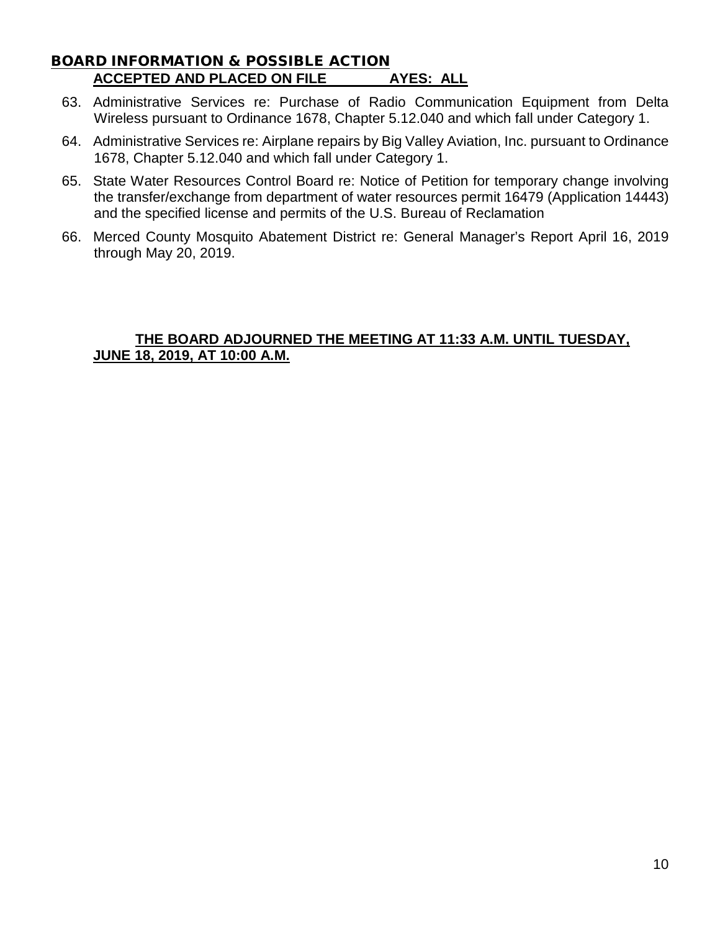### BOARD INFORMATION & POSSIBLE ACTION **ACCEPTED AND PLACED ON FILE AYES: ALL**

- 63. Administrative Services re: Purchase of Radio Communication Equipment from Delta Wireless pursuant to Ordinance 1678, Chapter 5.12.040 and which fall under Category 1.
- 64. Administrative Services re: Airplane repairs by Big Valley Aviation, Inc. pursuant to Ordinance 1678, Chapter 5.12.040 and which fall under Category 1.
- 65. State Water Resources Control Board re: Notice of Petition for temporary change involving the transfer/exchange from department of water resources permit 16479 (Application 14443) and the specified license and permits of the U.S. Bureau of Reclamation
- 66. Merced County Mosquito Abatement District re: General Manager's Report April 16, 2019 through May 20, 2019.

### **THE BOARD ADJOURNED THE MEETING AT 11:33 A.M. UNTIL TUESDAY, JUNE 18, 2019, AT 10:00 A.M.**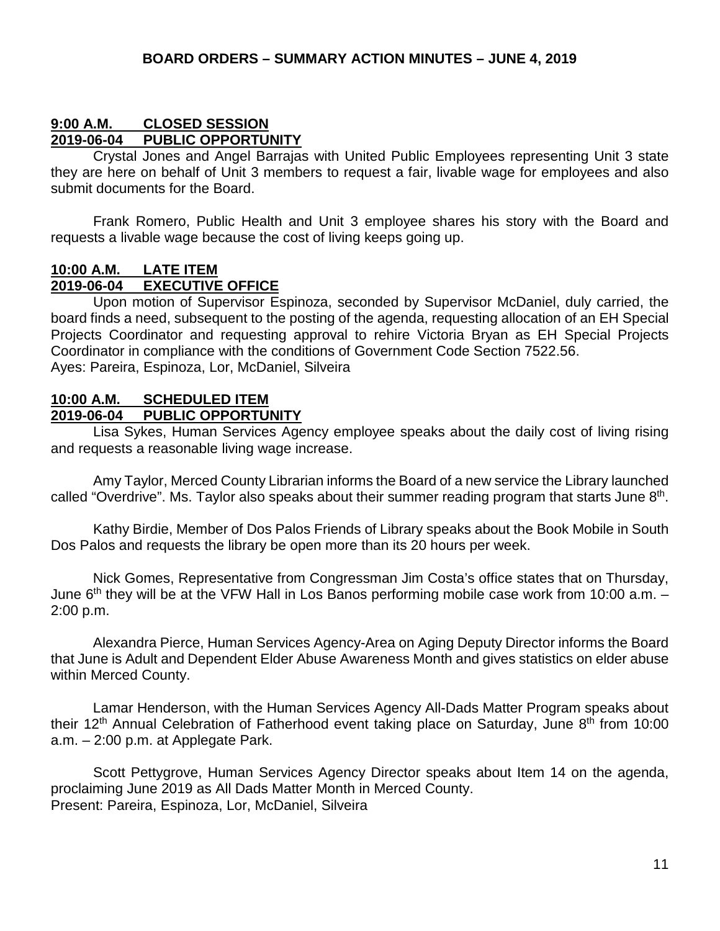#### **9:00 A.M. CLOSED SESSION PUBLIC OPPORTUNITY**

Crystal Jones and Angel Barrajas with United Public Employees representing Unit 3 state they are here on behalf of Unit 3 members to request a fair, livable wage for employees and also submit documents for the Board.

Frank Romero, Public Health and Unit 3 employee shares his story with the Board and requests a livable wage because the cost of living keeps going up.

#### **10:00 A.M. LATE ITEM 2019-06-04 EXECUTIVE OFFICE**

Upon motion of Supervisor Espinoza, seconded by Supervisor McDaniel, duly carried, the board finds a need, subsequent to the posting of the agenda, requesting allocation of an EH Special Projects Coordinator and requesting approval to rehire Victoria Bryan as EH Special Projects Coordinator in compliance with the conditions of Government Code Section 7522.56. Ayes: Pareira, Espinoza, Lor, McDaniel, Silveira

#### **10:00 A.M. SCHEDULED ITEM 2019-06-04 PUBLIC OPPORTUNITY**

Lisa Sykes, Human Services Agency employee speaks about the daily cost of living rising and requests a reasonable living wage increase.

Amy Taylor, Merced County Librarian informs the Board of a new service the Library launched called "Overdrive". Ms. Taylor also speaks about their summer reading program that starts June  $8<sup>th</sup>$ .

Kathy Birdie, Member of Dos Palos Friends of Library speaks about the Book Mobile in South Dos Palos and requests the library be open more than its 20 hours per week.

Nick Gomes, Representative from Congressman Jim Costa's office states that on Thursday, June  $6<sup>th</sup>$  they will be at the VFW Hall in Los Banos performing mobile case work from 10:00 a.m.  $-$ 2:00 p.m.

Alexandra Pierce, Human Services Agency-Area on Aging Deputy Director informs the Board that June is Adult and Dependent Elder Abuse Awareness Month and gives statistics on elder abuse within Merced County.

Lamar Henderson, with the Human Services Agency All-Dads Matter Program speaks about their 12<sup>th</sup> Annual Celebration of Fatherhood event taking place on Saturday, June 8<sup>th</sup> from 10:00 a.m. – 2:00 p.m. at Applegate Park.

Scott Pettygrove, Human Services Agency Director speaks about Item 14 on the agenda, proclaiming June 2019 as All Dads Matter Month in Merced County. Present: Pareira, Espinoza, Lor, McDaniel, Silveira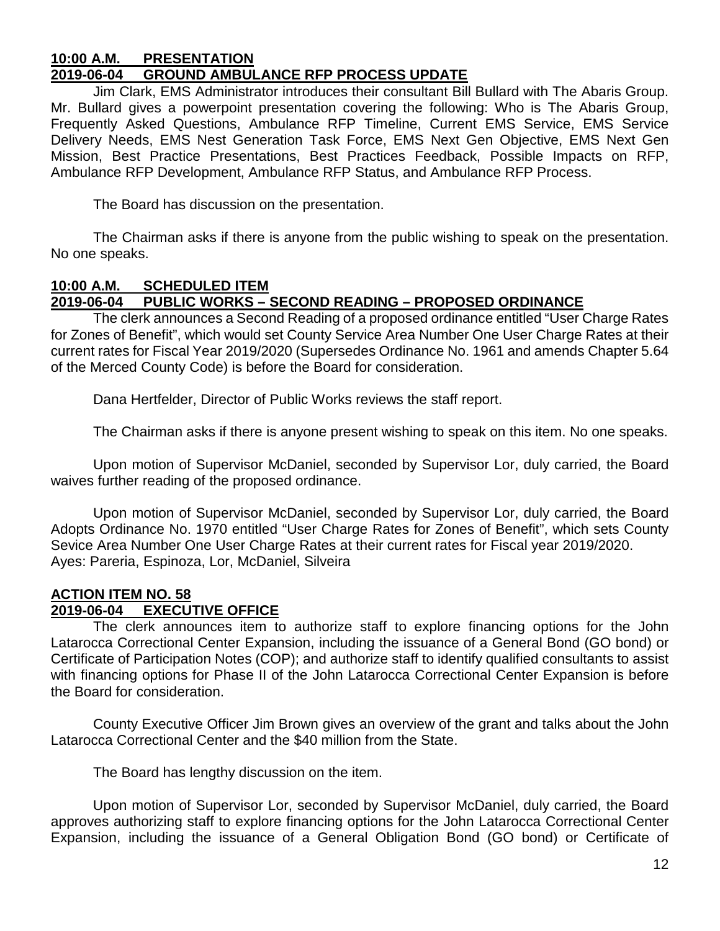#### **10:00 A.M. PRESENTATION 2019-06-04 GROUND AMBULANCE RFP PROCESS UPDATE**

Jim Clark, EMS Administrator introduces their consultant Bill Bullard with The Abaris Group. Mr. Bullard gives a powerpoint presentation covering the following: Who is The Abaris Group, Frequently Asked Questions, Ambulance RFP Timeline, Current EMS Service, EMS Service Delivery Needs, EMS Nest Generation Task Force, EMS Next Gen Objective, EMS Next Gen Mission, Best Practice Presentations, Best Practices Feedback, Possible Impacts on RFP, Ambulance RFP Development, Ambulance RFP Status, and Ambulance RFP Process.

The Board has discussion on the presentation.

The Chairman asks if there is anyone from the public wishing to speak on the presentation. No one speaks.

#### **10:00 A.M. SCHEDULED ITEM 2019-06-04 PUBLIC WORKS – SECOND READING – PROPOSED ORDINANCE**

The clerk announces a Second Reading of a proposed ordinance entitled "User Charge Rates for Zones of Benefit", which would set County Service Area Number One User Charge Rates at their current rates for Fiscal Year 2019/2020 (Supersedes Ordinance No. 1961 and amends Chapter 5.64 of the Merced County Code) is before the Board for consideration.

Dana Hertfelder, Director of Public Works reviews the staff report.

The Chairman asks if there is anyone present wishing to speak on this item. No one speaks.

Upon motion of Supervisor McDaniel, seconded by Supervisor Lor, duly carried, the Board waives further reading of the proposed ordinance.

Upon motion of Supervisor McDaniel, seconded by Supervisor Lor, duly carried, the Board Adopts Ordinance No. 1970 entitled "User Charge Rates for Zones of Benefit", which sets County Sevice Area Number One User Charge Rates at their current rates for Fiscal year 2019/2020. Ayes: Pareria, Espinoza, Lor, McDaniel, Silveira

#### **ACTION ITEM NO. 58 2019-06-04 EXECUTIVE OFFICE**

The clerk announces item to authorize staff to explore financing options for the John Latarocca Correctional Center Expansion, including the issuance of a General Bond (GO bond) or Certificate of Participation Notes (COP); and authorize staff to identify qualified consultants to assist with financing options for Phase II of the John Latarocca Correctional Center Expansion is before the Board for consideration.

County Executive Officer Jim Brown gives an overview of the grant and talks about the John Latarocca Correctional Center and the \$40 million from the State.

The Board has lengthy discussion on the item.

Upon motion of Supervisor Lor, seconded by Supervisor McDaniel, duly carried, the Board approves authorizing staff to explore financing options for the John Latarocca Correctional Center Expansion, including the issuance of a General Obligation Bond (GO bond) or Certificate of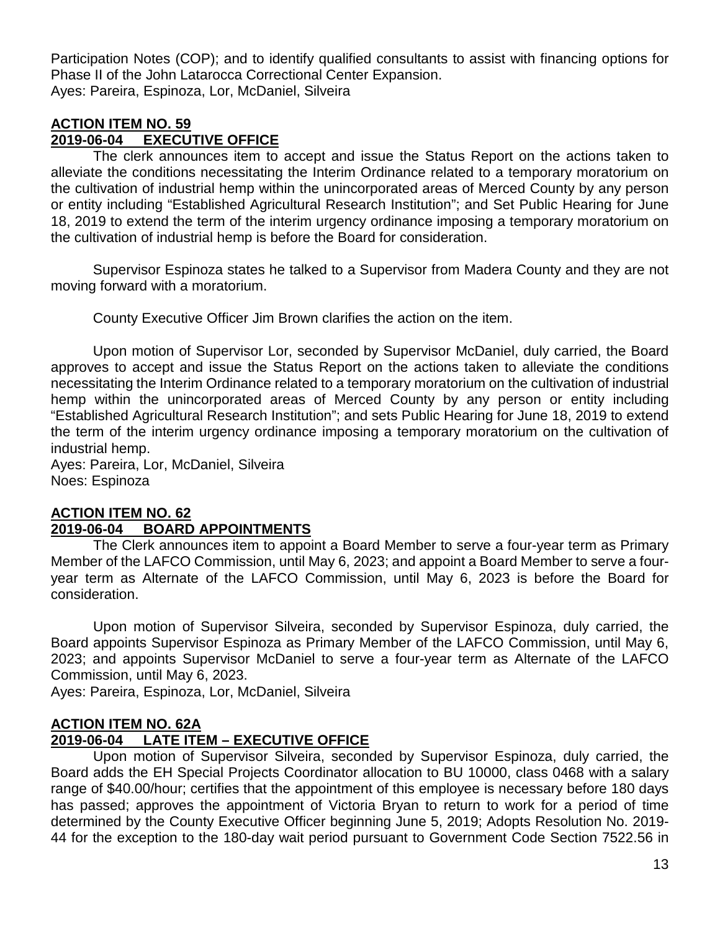Participation Notes (COP); and to identify qualified consultants to assist with financing options for Phase II of the John Latarocca Correctional Center Expansion. Ayes: Pareira, Espinoza, Lor, McDaniel, Silveira

### **ACTION ITEM NO. 59 2019-06-04 EXECUTIVE OFFICE**

The clerk announces item to accept and issue the Status Report on the actions taken to alleviate the conditions necessitating the Interim Ordinance related to a temporary moratorium on the cultivation of industrial hemp within the unincorporated areas of Merced County by any person or entity including "Established Agricultural Research Institution"; and Set Public Hearing for June 18, 2019 to extend the term of the interim urgency ordinance imposing a temporary moratorium on the cultivation of industrial hemp is before the Board for consideration.

Supervisor Espinoza states he talked to a Supervisor from Madera County and they are not moving forward with a moratorium.

County Executive Officer Jim Brown clarifies the action on the item.

Upon motion of Supervisor Lor, seconded by Supervisor McDaniel, duly carried, the Board approves to accept and issue the Status Report on the actions taken to alleviate the conditions necessitating the Interim Ordinance related to a temporary moratorium on the cultivation of industrial hemp within the unincorporated areas of Merced County by any person or entity including "Established Agricultural Research Institution"; and sets Public Hearing for June 18, 2019 to extend the term of the interim urgency ordinance imposing a temporary moratorium on the cultivation of industrial hemp.

Ayes: Pareira, Lor, McDaniel, Silveira Noes: Espinoza

# **ACTION ITEM NO. 62**

# **2019-06-04 BOARD APPOINTMENTS**

The Clerk announces item to appoint a Board Member to serve a four-year term as Primary Member of the LAFCO Commission, until May 6, 2023; and appoint a Board Member to serve a fouryear term as Alternate of the LAFCO Commission, until May 6, 2023 is before the Board for consideration.

Upon motion of Supervisor Silveira, seconded by Supervisor Espinoza, duly carried, the Board appoints Supervisor Espinoza as Primary Member of the LAFCO Commission, until May 6, 2023; and appoints Supervisor McDaniel to serve a four-year term as Alternate of the LAFCO Commission, until May 6, 2023.

Ayes: Pareira, Espinoza, Lor, McDaniel, Silveira

# **ACTION ITEM NO. 62A 2019-06-04 LATE ITEM – EXECUTIVE OFFICE**

Upon motion of Supervisor Silveira, seconded by Supervisor Espinoza, duly carried, the Board adds the EH Special Projects Coordinator allocation to BU 10000, class 0468 with a salary range of \$40.00/hour; certifies that the appointment of this employee is necessary before 180 days has passed; approves the appointment of Victoria Bryan to return to work for a period of time determined by the County Executive Officer beginning June 5, 2019; Adopts Resolution No. 2019- 44 for the exception to the 180-day wait period pursuant to Government Code Section 7522.56 in